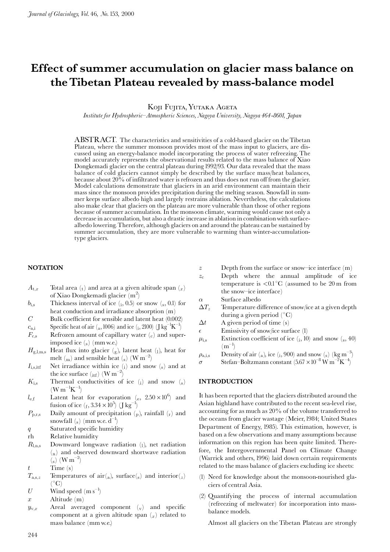# Effect of summer accumulation on glacier mass balance on the Tibetan Plateau revealed by mass-balance model

KOJI FUJITA, YUTAKA AGETA

Institute for Hydrospheric-Atmospheric Sciences, Nagoya University, Nagoya 464-8601, Japan

**ABSTRACT.** The characteristics and sensitivities of a cold-based glacier on the Tibetan Plateau, where the summer monsoon provides most of the mass input to glaciers, are discussed using an energy-balance model incorporating the process of water refreezing. The model accurately represents the observational results related to the mass balance of Xiao Dongkemadi glacier on the central plateau during 1992/93. Our data revealed that the mass balance of cold glaciers cannot simply be described by the surface mass/heat balances, because about 20% of infiltrated water is refrozen and thus does not run off from the glacier. Model calculations demonstrate that glaciers in an arid environment can maintain their mass since the monsoon provides precipitation during the melting season. Snowfall in summer keeps surface albedo high and largely restrains ablation. Nevertheless, the calculations also make clear that glaciers on the plateau are more vulnerable than those of other regions because of summer accumulation. In the monsoon climate, warming would cause not only a decrease in accumulation, but also a drastic increase in ablation in combination with surfacealbedo lowering. Therefore, although glaciers on and around the plateau can be sustained by summer accumulation, they are more vulnerable to warming than winter-accumulationtype glaciers.

 $\tilde{z}$ 

## **NOTATION**

- $A_{t.x}$ Total area  $\binom{1}{t}$  and area at a given altitude span  $\binom{1}{x}$ of Xiao Dongkemadi glacier  $(m^2)$
- Thickness interval of ice  $(i, 0.5)$  or snow  $(s, 0.1)$  for  $b_{i,s}$ heat conduction and irradiance absorption (m)
- $\overline{C}$ Bulk coefficient for sensible and latent heat (0.002)
- $c_{\rm a,i}$ Specific heat of air (a, 1006) and ice (i, 2100) (J kg<sup>-1</sup>K<sup>-1</sup>)
- $F_{\rm c,s}$ Refrozen amount of capillary water  $(c)$  and superimposed ice  $\left(s\right)$  (mm w.e.)
- $H_{\text{g},l,m,s}$  Heat flux into glacier (g), latent heat (1), heat for melt (m) and sensible heat (s) (W m<sup>-2</sup>)
- Net irradiance within ice  $(i)$  and snow  $(s)$  and at  $I_{\rm i.s.}$ the ice surface  $(i_{\text{tf}})$   $(W m^{-2})$
- Thermal conductivities of ice  $(i)$  and snow  $(s)$  $K_{\rm is}$  $(W m^{-1} K^{-1})$
- Latent heat for evaporation (e,  $2.50 \times 10^6$ ) and  $l_{\rm e,f}$ fusion of ice  $({}_{f}$ , 3.34  $\times 10^{5}$  (J kg<sup>-1</sup>)
- Daily amount of precipitation  $\binom{p}{p}$ , rainfall  $\binom{r}{r}$  and  $P_{\text{b.r.s}}$ snowfall  $\binom{s}{s}$  (mm w.e.  $d^{-1}$ )
- Saturated specific humidity  $\overline{q}$
- $rh$ Relative humidity
- $R_{\rm l,n,s}$ Downward longwave radiation  $(1)$ , net radiation  $(n)$  and observed downward shortwave radiation (s) (W m<sup>-2</sup>)  $t_{i}$ 
	- $Time(s)$
- $T_{\rm a.s. z}$ Temperatures of  $\arctan(x)$ , surface(s) and interior(z)  $(^{\circ}C)$
- Wind speed  $(m s^{-1})$  $U$
- Altitude (m)  $\boldsymbol{x}$
- Areal averaged component  $\left(v\right)$  and specific  $y_{v}$ component at a given altitude span  $(x)$  related to mass balance (mm w.e.)
- Depth from the surface or snow-ice interface (m)
- Depth where the annual amplitude of ice  $z_c$ temperature is  $\langle 0.1^{\circ}$ C (assumed to be 20 m from the snow-ice interface) Surface albedo  $\alpha$
- $\Delta T_{\gamma}$ Temperature difference of snow/ice at a given depth during a given period  $(^{\circ}C)$
- $\Delta t$ A given period of time (s)
- Emissivity of snow/ice surface (1)  $\epsilon$
- Extinction coefficient of ice  $(i, 10)$  and snow  $(s, 40)$  $\mu_{i,s}$  $(m^{-1})$
- Density of air (a), ice (i, 900) and snow (s) (kg m<sup>-3</sup>)  $\rho_{\rm a,i,s}$
- Stefan-Boltzmann constant  $(5.67 \times 10^{-8} \,\text{W m}^{-2} \text{K}^{-4})$

## **INTRODUCTION**

It has been reported that the glaciers distributed around the Asian highland have contributed to the recent sea-level rise, accounting for as much as  $20\%$  of the volume transferred to the oceans from glacier wastage (Meier, 1984; United States Department of Energy, 1985). This estimation, however, is based on a few observations and many assumptions because information on this region has been quite limited. Therefore, the Intergovernmental Panel on Climate Change (Warrick and others, 1996) laid down certain requirements related to the mass balance of glaciers excluding ice sheets:

- (1) Need for knowledge about the monsoon-nourished glaciers of central Asia.
- (2) Quantifying the process of internal accumulation (refreezing of meltwater) for incorporation into massbalance models.

Almost all glaciers on the Tibetan Plateau are strongly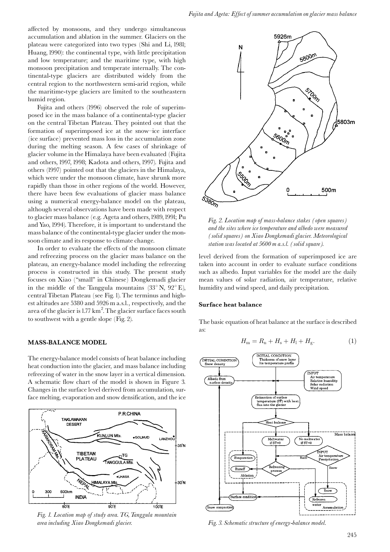affected by monsoons, and they undergo simultaneous accumulation and ablation in the summer. Glaciers on the plateau were categorized into two types (Shi and Li, 1981; Huang, 1990): the continental type, with little precipitation and low temperature; and the maritime type, with high monsoon precipitation and temperate internally. The continental-type glaciers are distributed widely from the central region to the northwestern semi-arid region, while the maritime-type glaciers are limited to the southeastern humid region.

Fujita and others (1996) observed the role of superimposed ice in the mass balance of a continental-type glacier on the central Tibetan Plateau. They pointed out that the formation of superimposed ice at the snow-ice interface (ice surface) prevented mass loss in the accumulation zone during the melting season. A few cases of shrinkage of glacier volume in the Himalaya have been evaluated (Fujita and others, 1997, 1998; Kadota and others, 1997). Fujita and others (1997) pointed out that the glaciers in the Himalaya, which were under the monsoon climate, have shrunk more rapidly than those in other regions of the world. However, there have been few evaluations of glacier mass balance using a numerical energy-balance model on the plateau, although several observations have been made with respect to glacier mass balance (e.g. Ageta and others, 1989, 1991; Pu and Yao, 1994). Therefore, it is important to understand the mass balance of the continental-type glacier under the monsoon climate and its response to climate change.

In order to evaluate the effects of the monsoon climate and refreezing process on the glacier mass balance on the plateau, an energy-balance model including the refreezing process is constructed in this study. The present study focuses on Xiao ("small" in Chinese) Dongkemadi glacier in the middle of the Tanggula mountains  $(33^\circ \text{ N}, 92^\circ \text{ E})$ , central Tibetan Plateau (see Fig. 1). The terminus and highest altitudes are 5380 and 5926 m a.s.l., respectively, and the area of the glacier is 1.77  $km^2$ . The glacier surface faces south to southwest with a gentle slope (Fig. 2).

#### **MASS-BALANCE MODEL**

The energy-balance model consists of heat balance including heat conduction into the glacier, and mass balance including refreezing of water in the snow layer in a vertical dimension. A schematic flow chart of the model is shown in Figure 3. Changes in the surface level derived from accumulation, surface melting, evaporation and snow densification, and the ice



Fig. 1. Location map of study area. TG, Tanggula mountain area including Xiao Dongkemadi glacier.



Fig. 2. Location map of mass-balance stakes (open squares) and the sites where ice temperature and albedo were measured (solid squares) on Xiao Dongkemadi glacier. Meteorological station was located at 5600 m a.s.l. (solid square).

level derived from the formation of superimposed ice are taken into account in order to evaluate surface conditions such as albedo. Input variables for the model are the daily mean values of solar radiation, air temperature, relative humidity and wind speed, and daily precipitation.

#### Surface heat balance

The basic equation of heat balance at the surface is described as:

$$
H_{\rm m} = R_{\rm n} + H_{\rm s} + H_1 + H_{\rm g}.\tag{1}
$$



Fig. 3. Schematic structure of energy-balance model.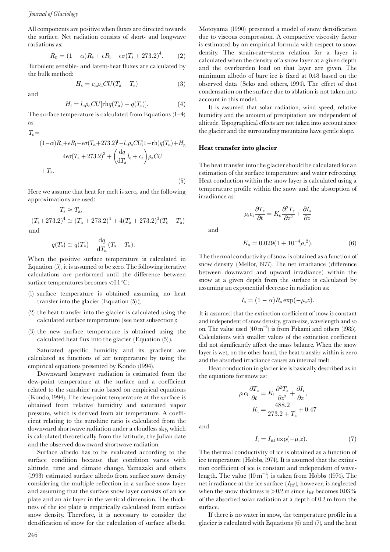#### Fournal of Glaciology

All components are positive when fluxes are directed towards the surface. Net radiation consists of short- and longwave radiations as:

$$
R_{\rm n} = (1 - \alpha)R_{\rm s} + \epsilon R_{\rm l} - \epsilon \sigma (T_{\rm s} + 273.2)^4. \tag{2}
$$

Turbulent sensible- and latent-heat fluxes are calculated by the bulk method:

$$
H_{\rm s} = c_{\rm a} \rho_{\rm a} CU (T_{\rm a} - T_{\rm s}) \tag{3}
$$

and

$$
H_1 = l_e \rho_a C U[\text{rhq}(T_a) - q(T_s)]. \tag{4}
$$

The surface temperature is calculated from Equations  $(1-4)$ as:

$$
T_{\rm s} =
$$

$$
\frac{(1-\alpha)R_s + \epsilon R_l - \epsilon \sigma (T_a + 273.2)^4 - l_e \rho_a C U (1-\text{rh}) q (T_a) + H_g}{4\epsilon \sigma (T_a + 273.2)^3 + \left(\frac{\text{d}q}{\text{d}T_a} l_e + c_a\right) \rho_a C U} + T_a.
$$
\n(5)

Here we assume that heat for melt is zero, and the following approximations are used:

$$
T_s \approx T_a,
$$
  
\n $(T_s + 273.2)^4 \approx (T_a + 273.2)^4 + 4(T_a + 273.2)^3 (T_s - T_a)$   
\nand

$$
q(T_{\rm s}) \cong q(T_{\rm a}) + \frac{\mathrm{d}q}{\mathrm{d}T_{\rm a}}(T_{\rm s} - T_{\rm a}).
$$

When the positive surface temperature is calculated in Equation (5), it is assumed to be zero. The following iterative calculations are performed until the difference between surface temperatures becomes  $< 0.1$ °C:

- (1) surface temperature is obtained assuming no heat transfer into the glacier (Equation  $(5)$ );
- (2) the heat transfer into the glacier is calculated using the calculated surface temperature (see next subsection);
- (3) the new surface temperature is obtained using the calculated heat flux into the glacier (Equation (5)).

Saturated specific humidity and its gradient are calculated as functions of air temperature by using the empirical equations presented by Kondo (1994).

Downward longwave radiation is estimated from the dew-point temperature at the surface and a coefficient related to the sunshine ratio based on empirical equations (Kondo, 1994). The dew-point temperature at the surface is obtained from relative humidity and saturated vapor pressure, which is derived from air temperature. A coefficient relating to the sunshine ratio is calculated from the downward shortwave radiation under a cloudless sky, which is calculated theoretically from the latitude, the Julian date and the observed downward shortwave radiation.

Surface albedo has to be evaluated according to the surface condition because that condition varies with altitude, time and climate change. Yamazaki and others (1993) estimated surface albedo from surface snow density considering the multiple reflection in a surface snow layer and assuming that the surface snow layer consists of an ice plate and an air layer in the vertical dimension. The thickness of the ice plate is empirically calculated from surface snow density. Therefore, it is necessary to consider the densification of snow for the calculation of surface albedo.

Motoyama (1990) presented a model of snow densification due to viscous compression. A compactive viscosity factor is estimated by an empirical formula with respect to snow density. The strain-rate-stress relation for a layer is calculated when the density of a snow layer at a given depth and the overburden load on that layer are given. The minimum albedo of bare ice is fixed at 0.48 based on the observed data (Seko and others, 1994). The effect of dust condensation on the surface due to ablation is not taken into account in this model.

It is assumed that solar radiation, wind speed, relative humidity and the amount of precipitation are independent of altitude. Topographical effects are not taken into account since the glacier and the surrounding mountains have gentle slope.

#### Heat transfer into glacier

The heat transfer into the glacier should be calculated for an estimation of the surface temperature and water refreezing. Heat conduction within the snow layer is calculated using a temperature profile within the snow and the absorption of irradiance as:

$$
\rho_{\rm s} c_{\rm i} \frac{\partial T_z}{\partial t} = K_{\rm s} \frac{\partial^2 T_z}{\partial z^2} + \frac{\partial I_{\rm s}}{\partial z}
$$

and

$$
K_{\rm s} = 0.029(1 + 10^{-4} \rho_{\rm s}^2). \tag{6}
$$

The thermal conductivity of snow is obtained as a function of snow density (Mellor, 1977). The net irradiance (difference between downward and upward irradiance) within the snow at a given depth from the surface is calculated by assuming an exponential decrease in radiation as:

$$
I_{\rm s}=(1-\alpha)R_{\rm s}\exp(-\mu_{\rm s}z).
$$

It is assumed that the extinction coefficient of snow is constant and independent of snow density, grain-size, wavelength and so on. The value used  $(40 \text{ m}^{-1})$  is from Fukami and others (1985). Calculations with smaller values of the extinction coefficient did not significantly affect the mass balance. When the snow layer is wet, on the other hand, the heat transfer within is zero and the absorbed irradiance causes an internal melt.

Heat conduction in glacier ice is basically described as in the equations for snow as:

$$
\rho_{\rm i}c_{\rm i}\frac{\partial T_z}{\partial t} = K_{\rm i}\frac{\partial^2 T_z}{\partial z^2} + \frac{\partial I_{\rm i}}{\partial z},
$$

$$
K_{\rm i} = \frac{488.2}{273.2 + T_z} + 0.47
$$

and

$$
I_{\rm i} = I_{\rm itf} \exp(-\mu_{\rm i} z). \tag{7}
$$

The thermal conductivity of ice is obtained as a function of ice temperature (Hobbs, 1974). It is assumed that the extinction coefficient of ice is constant and independent of wavelength. The value  $(10 \text{ m}^{-1})$  is taken from Hobbs (1974). The net irradiance at the ice surface  $(I_{\text{it}})$ , however, is neglected when the snow thickness is >0.2 m since  $I_{\text{it}}$  becomes 0.03% of the absorbed solar radiation at a depth of 0.2 m from the surface.

If there is no water in snow, the temperature profile in a glacier is calculated with Equations (6) and (7), and the heat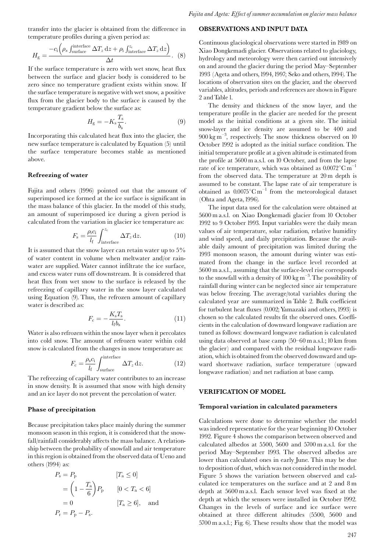transfer into the glacier is obtained from the difference in temperature profiles during a given period as:

$$
H_{\rm g} = \frac{-c_{\rm i} \left( \rho_s \int_{\rm surface}^{\rm interface} \Delta T_z \, \mathrm{d}z + \rho_{\rm i} \int_{\rm interface}^{z_{\rm c}} \Delta T_z \, \mathrm{d}z \right)}{\Delta t} . \tag{8}
$$

If the surface temperature is zero with wet snow, heat flux between the surface and glacier body is considered to be zero since no temperature gradient exists within snow. If the surface temperature is negative with wet snow, a positive flux from the glacier body to the surface is caused by the temperature gradient below the surface as:

$$
H_{\rm g} = -K_{\rm s} \frac{T_{\rm s}}{b_{\rm s}}.\tag{9}
$$

Incorporating this calculated heat flux into the glacier, the new surface temperature is calculated by Equation (5) until the surface temperature becomes stable as mentioned above.

## Refreezing of water

Fujita and others (1996) pointed out that the amount of superimposed ice formed at the ice surface is significant in the mass balance of this glacier. In the model of this study, an amount of superimposed ice during a given period is calculated from the variation in glacier ice temperature as:

$$
F_{\rm s} = \frac{\rho_{\rm i} c_{\rm i}}{l_{\rm f}} \int_{\rm interface}^{z_{\rm c}} \Delta T_z \,\mathrm{d}z. \tag{10}
$$

It is assumed that the snow layer can retain water up to  $5\%$ of water content in volume when meltwater and/or rainwater are supplied. Water cannot infiltrate the ice surface, and excess water runs off downstream. It is considered that heat flux from wet snow to the surface is released by the refreezing of capillary water in the snow layer calculated using Equation (9). Thus, the refrozen amount of capillary water is described as:

$$
F_{\rm c} = -\frac{K_{\rm s}T_{\rm s}}{l_{\rm f}b_{\rm s}}.\tag{11}
$$

Water is also refrozen within the snow layer when it percolates into cold snow. The amount of refrozen water within cold snow is calculated from the changes in snow temperature as:

$$
F_{\rm c} = \frac{\rho_{\rm s} c_{\rm i}}{l_{\rm f}} \int_{\rm surface}^{\rm interface} \Delta T_z \, \mathrm{d}z. \tag{12}
$$

The refreezing of capillary water contributes to an increase in snow density. It is assumed that snow with high density and an ice layer do not prevent the percolation of water.

#### Phase of precipitation

Because precipitation takes place mainly during the summer monsoon season in this region, it is considered that the snowfall/rainfall considerably affects the mass balance. A relationship between the probability of snowfall and air temperature in this region is obtained from the observed data of Ueno and others  $(1994)$  as:

$$
P_{\rm s} = P_{\rm p} \qquad [T_{\rm a} \le 0]
$$

$$
= \left(1 - \frac{T_{\rm a}}{6}\right) P_{\rm p} \qquad [0 < T_{\rm a} < 6]
$$

$$
= 0 \qquad [T_{\rm a} \ge 6], \quad \text{and}
$$

$$
P_{\rm r} = P_{\rm p} - P_{\rm s}.
$$

# **OBSERVATIONS AND INPUT DATA**

Continuous glaciological observations were started in 1989 on Xiao Dongkemadi glacier. Observations related to glaciology, hydrology and meteorology were then carried out intensively on and around the glacier during the period May-September 1993 (Ageta and others, 1994, 1997; Seko and others, 1994). The locations of observation sites on the glacier, and the observed variables, altitudes, periods and references are shown in Figure 2 and Table 1.

The density and thickness of the snow layer, and the temperature profile in the glacier are needed for the present model as the initial conditions at a given site. The initial snow-layer and ice density are assumed to be 400 and  $900 \text{ kg m}^{-3}$ , respectively. The snow thickness observed on 10 October 1992 is adopted as the initial surface condition. The initial temperature profile at a given altitude is estimated from the profile at 5600 m a.s.l. on 10 October, and from the lapse rate of ice temperature, which was obtained as  $0.0072^{\circ}$ C m<sup>-1</sup> from the observed data. The temperature at 20 m depth is assumed to be constant. The lapse rate of air temperature is obtained as  $0.0075^{\circ}$ C m<sup>-1</sup> from the meteorological dataset (Ohta and Ageta, 1996).

The input data used for the calculation were obtained at 5600 m a.s.l. on Xiao Dongkemadi glacier from 10 October 1992 to 9 October 1993. Input variables were the daily mean values of air temperature, solar radiation, relative humidity and wind speed, and daily precipitation. Because the available daily amount of precipitation was limited during the 1993 monsoon season, the amount during winter was estimated from the change in the surface level recorded at 5600 m a.s.l., assuming that the surface-level rise corresponds to the snowfall with a density of 100 kg  $m^{-3}$ . The possibility of rainfall during winter can be neglected since air temperature was below freezing. The average/total variables during the calculated year are summarized in Table 2. Bulk coefficient for turbulent heat fluxes (0.002; Yamazaki and others, 1993) is chosen so the calculated results fit the observed ones. Coefficients in the calculation of downward longwave radiation are tuned as follows: downward longwave radiation is calculated using data observed at base camp (50-60 m a.s.l.; 10 km from the glacier) and compared with the residual longwave radiation, which is obtained from the observed downward and upward shortwave radiation, surface temperature (upward longwave radiation) and net radiation at base camp.

#### **VERIFICATION OF MODEL**

#### Temporal variation in calculated parameters

Calculations were done to determine whether the model was indeed representative for the year beginning 10 October 1992. Figure 4 shows the comparison between observed and calculated albedos at 5500, 5600 and 5700 m a.s.l. for the period May-September 1993. The observed albedos are lower than calculated ones in early June. This may be due to deposition of dust, which was not considered in the model. Figure 5 shows the variation between observed and calculated ice temperatures on the surface and at 2 and 8 m depth at 5600 m a.s.l. Each sensor level was fixed at the depth at which the sensors were installed in October 1992. Changes in the levels of surface and ice surface were obtained at three different altitudes (5500, 5600 and 5700 m a.s.l.; Fig. 6). These results show that the model was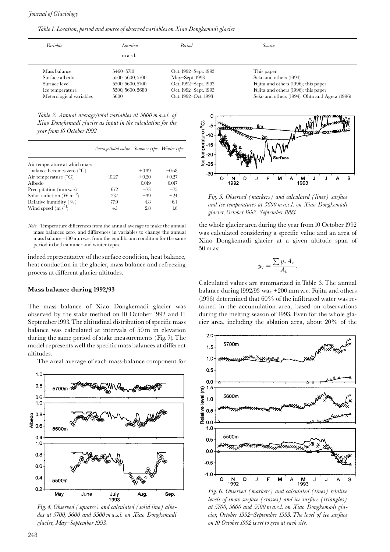Table 1. Location, period and source of observed variables on Xiao Dongkemadi glacier

| Variable                | Location<br>m a.s.l. | Period               | <i>Source</i>                                 |
|-------------------------|----------------------|----------------------|-----------------------------------------------|
| Mass balance            | 5460-5710            | Oct. 1992–Sept. 1993 | This paper                                    |
| Surface albedo          | 5500, 5600, 5700     | May-Sept. 1993       | Seko and others (1994)                        |
| Surface level           | 5500, 5600, 5700     | Oct. 1992–Sept. 1993 | Fujita and others (1996); this paper          |
| Ice temperature         | 5500, 5600, 5680     | Oct. 1992–Sept. 1993 | Fujita and others (1996); this paper          |
| Meterological variables | 5600                 | Oct. 1992–Oct. 1993  | Seko and others (1994); Ohta and Ageta (1996) |

Table 2. Annual average/total variables at 5600 m a.s.l. of Xiao Dongkemadi glacier as input in the calculation for the year from 10 October 1992

|                                    | Average/total value Summer type Winter type |          |          |
|------------------------------------|---------------------------------------------|----------|----------|
| Air temperature at which mass      |                                             |          |          |
| balance becomes zero $(^{\circ}C)$ |                                             | $+0.39$  | $-0.68$  |
| Air temperature $(^{\circ}C)$      | $-10.27$                                    | $+0.20$  | $+0.27$  |
| Albedo                             |                                             | $-0.019$ | $-0.017$ |
| Precipitation (mm w.e.)            | 672                                         | $-73$    | $-75$    |
| Solar radiation ( $W m^{-2}$ )     | 237                                         | $+39$    | $+24$    |
| Relative humidity $(\% )$          | 77.9                                        | $+4.8$   | $+6.1$   |
| Wind speed $(m s^{-1})$            | 4.1                                         | $-2.8$   | $-16$    |

Note: Temperature differences from the annual average to make the annual mass balances zero, and differences in variables to change the annual mass balance  $-100$  mm w.e. from the equilibrium condition for the same period in both summer and winter types.

indeed representative of the surface condition, heat balance, heat conduction in the glacier, mass balance and refreezing process at different glacier altitudes.

#### Mass balance during 1992/93

The mass balance of Xiao Dongkemadi glacier was observed by the stake method on 10 October 1992 and 11 September 1993. The altitudinal distribution of specific mass balance was calculated at intervals of 50 m in elevation during the same period of stake measurements (Fig. 7). The model represents well the specific mass balances at different altitudes.

The areal average of each mass-balance component for



Fig. 4. Observed (squares) and calculated (solid line) albedos at 5700, 5600 and 5500 m a.s.l. on Xiao Dongkemadi glacier, May-September 1993.



Fig. 5. Observed (markers) and calculated (lines) surface and ice temperatures at 5600 m a.s.l. on Xiao Dongkemadi glacier, October 1992–September 1993.

the whole glacier area during the year from 10 October 1992 was calculated considering a specific value and an area of Xiao Dongkemadi glacier at a given altitude span of  $50 \text{ m as:}$ 

$$
y_{\rm v} = \frac{\sum y_x A_x}{A_{\rm t}}.
$$

Calculated values are summarized in Table 3. The annual balance during  $1992/93$  was  $+200$  mm w.e. Fujita and others (1996) determined that  $60\%$  of the infiltrated water was retained in the accumulation area, based on observations during the melting season of 1993. Even for the whole glacier area, including the ablation area, about 20% of the



Fig. 6. Observed (markers) and calculated (lines) relative levels of snow surface (crosses) and ice surface (triangles) at 5700, 5600 and 5500 m a.s.l. on Xiao Dongkemadi glacier, October 1992–September 1993. The level of ice surface on 10 October 1992 is set to zero at each site.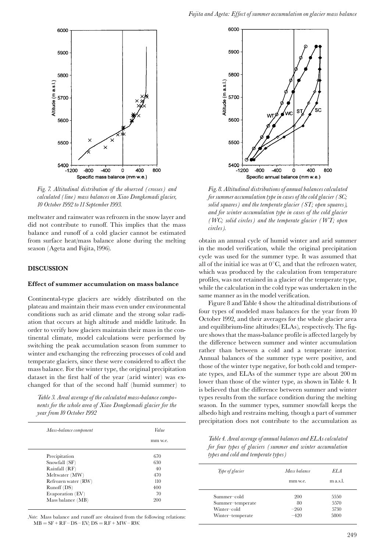

Fig. 7. Altitudinal distribution of the observed (crosses) and calculated (line) mass balances on Xiao Dongkemadi glacier, 10 October 1992 to 11 September 1993.

meltwater and rainwater was refrozen in the snow layer and did not contribute to runoff. This implies that the mass balance and runoff of a cold glacier cannot be estimated from surface heat/mass balance alone during the melting season (Ageta and Fujita, 1996).

## **DISCUSSION**

#### Effect of summer accumulation on mass balance

Continental-type glaciers are widely distributed on the plateau and maintain their mass even under environmental conditions such as arid climate and the strong solar radiation that occurs at high altitude and middle latitude. In order to verify how glaciers maintain their mass in the continental climate, model calculations were performed by switching the peak accumulation season from summer to winter and exchanging the refreezing processes of cold and temperate glaciers, since these were considered to affect the mass balance. For the winter type, the original precipitation dataset in the first half of the year (arid winter) was exchanged for that of the second half (humid summer) to

Table 3. Areal average of the calculated mass-balance components for the whole area of Xiao Dongkemadi glacier for the year from 10 October 1992

| Mass-balance component | Value   |  |
|------------------------|---------|--|
|                        | mm w.e. |  |
| Precipitation          | 670     |  |
| Snowfall (SF)          | 630     |  |
| Rainfall (RF)          | 40      |  |
| Meltwater (MW)         | 470     |  |
| Refrozen water (RW)    | 110     |  |
| Runoff(DS)             | 400     |  |
| Evaporation (EV)       | 70      |  |
| Mass balance (MB)      | 200     |  |

Note: Mass balance and runoff are obtained from the following relations:  $MB = SF + RF - DS - EV$ ;  $DS = RF + MW - RW$ .



Fig. 8. Altitudinal distributions of annual balances calculated for summer accumulation type in cases of the cold glacier ( $SC$ ; solid squares) and the temperate glacier ( $ST$ ; open squares), and for winter accumulation type in cases of the cold glacier (WC; solid circles) and the temperate glacier (WT; open  $circles)$ 

obtain an annual cycle of humid winter and arid summer in the model verification, while the original precipitation cycle was used for the summer type. It was assumed that all of the initial ice was at  $0^{\circ}$ C, and that the refrozen water, which was produced by the calculation from temperature profiles, was not retained in a glacier of the temperate type, while the calculation in the cold type was undertaken in the same manner as in the model verification.

Figure 8 and Table 4 show the altitudinal distributions of four types of modeled mass balances for the year from 10 October 1992, and their averages for the whole glacier area and equilibrium-line altitudes (ELAs), respectively. The figure shows that the mass-balance profile is affected largely by the difference between summer and winter accumulation rather than between a cold and a temperate interior. Annual balances of the summer type were positive, and those of the winter type negative, for both cold and temperate types, and ELAs of the summer type are about 200 m lower than those of the winter type, as shown in Table 4. It is believed that the difference between summer and winter types results from the surface condition during the melting season. In the summer types, summer snowfall keeps the albedo high and restrains melting, though a part of summer precipitation does not contribute to the accumulation as

Table 4. Areal average of annual balances and ELAs calculated for four types of glaciers (summer and winter accumulation types and cold and temperate types)

| Type of glacier  | Mass balance<br>mm w.e. | EL A<br>$m$ a.s.l. |
|------------------|-------------------------|--------------------|
| Summer-cold      | 200                     | 5550               |
| Summer-temperate | 80                      | 5570               |
| Winter–cold      | $-260$                  | 5730               |
| Winter-temperate | $-420$                  | 5800               |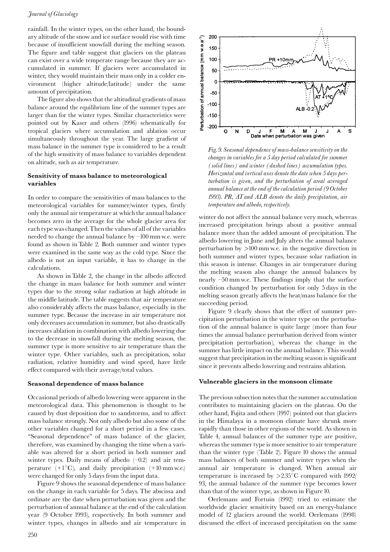#### Fournal of Glaciology

rainfall. In the winter types, on the other hand, the boundary altitude of the snow and ice surface would rise with time because of insufficient snowfall during the melting season. The figure and table suggest that glaciers on the plateau can exist over a wide temperate range because they are accumulated in summer. If glaciers were accumulated in winter, they would maintain their mass only in a colder environment (higher altitude/latitude) under the same amount of precipitation.

The figure also shows that the altitudinal gradients of mass balance around the equilibrium line of the summer types are larger than for the winter types. Similar characteristics were pointed out by Kaser and others (1996) schematically for tropical glaciers where accumulation and ablation occur simultaneously throughout the year. The large gradient of mass balance in the summer type is considered to be a result of the high sensitivity of mass balance to variables dependent on altitude, such as air temperature.

## Sensitivity of mass balance to meteorological variables

In order to compare the sensitivities of mass balances to the meteorological variables for summer/winter types, firstly only the annual air temperature at which the annual balance becomes zero in the average for the whole glacier area for each type was changed. Then the values of all of the variables needed to change the annual balance by  $-100$  mm w.e. were found as shown in Table 2. Both summer and winter types were examined in the same way as the cold type. Since the albedo is not an input variable, it has to change in the calculations.

As shown in Table 2, the change in the albedo affected the change in mass balance for both summer and winter types due to the strong solar radiation at high altitude in the middle latitude. The table suggests that air temperature also considerably affects the mass balance, especially in the summer type. Because the increase in air temperature not only decreases accumulation in summer, but also drastically increases ablation in combination with albedo lowering due to the decrease in snowfall during the melting season, the summer type is more sensitive to air temperature than the winter type. Other variables, such as precipitation, solar radiation, relative humidity and wind speed, have little effect compared with their average/total values.

#### Seasonal dependence of mass balance

Occasional periods of albedo lowering were apparent in the meteorological data. This phenomenon is thought to be caused by dust deposition due to sandstorms, and to affect mass balance strongly. Not only albedo but also some of the other variables changed for a short period in a few cases. "Seasonal dependence" of mass balance of the glacier, therefore, was examined by changing the time when a variable was altered for a short period in both summer and winter types. Daily means of albedo  $(-0.2)$  and air temperature  $(+1^{\circ}C)$ , and daily precipitation  $(+10 \text{ mm w.e.})$ were changed for only 5 days from the input data.

Figure 9 shows the seasonal dependence of mass balance on the change in each variable for 5 days. The abscissa and ordinate are the date when perturbation was given and the perturbation of annual balance at the end of the calculation year (9 October 1993), respectively. In both summer and winter types, changes in albedo and air temperature in



Fig. 9. Seasonal dependence of mass-balance sensitivity on the changes in variables for a 5 day period calculated for summer (solid lines) and winter (dashed lines) accumulation types. Horizontal and vertical axes denote the date when 5 days perturbation is given, and the perturbation of areal averaged annual balance at the end of the calculation period (9 October 1993). PR, AT and ALB denote the daily precipitation, air temperature and albedo, respectively.

winter do not affect the annual balance very much, whereas increased precipitation brings about a positive annual balance more than the added amount of precipitation. The albedo lowering in June and July alters the annual balance perturbation by  $>100$  mm w.e. in the negative direction in both summer and winter types, because solar radiation in this season is intense. Changes in air temperature during the melting season also change the annual balances by nearly -50 mm w.e. These findings imply that the surface condition changed by perturbation for only 5 days in the melting season greatly affects the heat/mass balance for the succeeding period.

Figure 9 clearly shows that the effect of summer precipitation perturbation in the winter type on the perturbation of the annual balance is quite large (more than four times the annual balance perturbation derived from winter precipitation perturbation), whereas the change in the summer has little impact on the annual balance. This would suggest that precipitation in the melting season is significant since it prevents albedo lowering and restrains ablation.

### Vulnerable glaciers in the monsoon climate

The previous subsection notes that the summer accumulation contributes to maintaining glaciers on the plateau. On the other hand, Fujita and others (1997) pointed out that glaciers in the Himalaya in a monsoon climate have shrunk more rapidly than those in other regions of the world. As shown in Table 4, annual balances of the summer type are positive, whereas the summer type is more sensitive to air temperature than the winter type (Table 2). Figure 10 shows the annual mass balances of both summer and winter types when the annual air temperature is changed. When annual air temperature is increased by  $>2.35^{\circ}$ C compared with 1992/ 93, the annual balance of the summer type becomes lower than that of the winter type, as shown in Figure 10.

Oerlemans and Fortuin (1992) tried to estimate the worldwide glacier sensitivity based on an energy-balance model of 12 glaciers around the world. Oerlemans (1998) discussed the effect of increased precipitation on the same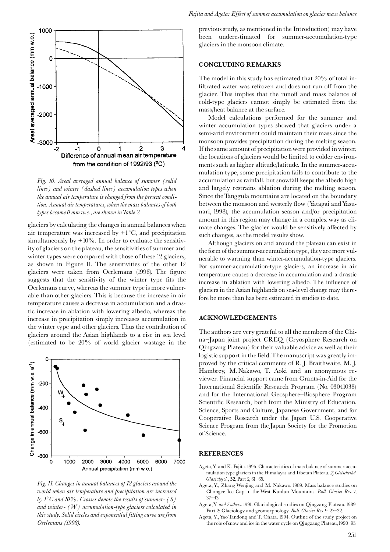

Fig. 10. Areal averaged annual balance of summer (solid lines) and winter (dashed lines) accumulation types when the annual air temperature is changed from the present condition. Annual air temperatures, when the mass balances of both types become 0 mm w.e., are shown in Table 2.

glaciers by calculating the changes in annual balances when air temperature was increased by  $+1^{\circ}C$ , and precipitation simultaneously by  $+10\%$ . In order to evaluate the sensitivity of glaciers on the plateau, the sensitivities of summer and winter types were compared with those of these 12 glaciers, as shown in Figure 11. The sensitivities of the other 12 glaciers were taken from Oerlemans (1998). The figure suggests that the sensitivity of the winter type fits the Oerlemans curve, whereas the summer type is more vulnerable than other glaciers. This is because the increase in air temperature causes a decrease in accumulation and a drastic increase in ablation with lowering albedo, whereas the increase in precipitation simply increases accumulation in the winter type and other glaciers. Thus the contribution of glaciers around the Asian highlands to a rise in sea level (estimated to be  $20\%$  of world glacier wastage in the



Fig. 11. Changes in annual balances of 12 glaciers around the world when air temperature and precipitation are increased by  $1^{\circ}$ C and  $10\%$ . Crosses denote the results of summer- (S) and winter- $(W)$  accumulation-type glaciers calculated in this study. Solid circles and exponential fitting curve are from Oerlemans (1998).

previous study, as mentioned in the Introduction) may have been underestimated for summer-accumulation-type glaciers in the monsoon climate.

## **CONCLUDING REMARKS**

The model in this study has estimated that 20% of total infiltrated water was refrozen and does not run off from the glacier. This implies that the runoff and mass balance of cold-type glaciers cannot simply be estimated from the mass/heat balance at the surface.

Model calculations performed for the summer and winter accumulation types showed that glaciers under a semi-arid environment could maintain their mass since the monsoon provides precipitation during the melting season. If the same amount of precipitation were provided in winter, the locations of glaciers would be limited to colder environments such as higher altitude/latitude. In the summer-accumulation type, some precipitation fails to contribute to the accumulation as rainfall, but snowfall keeps the albedo high and largely restrains ablation during the melting season. Since the Tanggula mountains are located on the boundary between the monsoon and westerly flow (Yatagai and Yasunari, 1998), the accumulation season and/or precipitation amount in this region may change in a complex way as climate changes. The glacier would be sensitively affected by such changes, as the model results show.

Although glaciers on and around the plateau can exist in the form of the summer-accumulation type, they are more vulnerable to warming than winter-accumulation-type glaciers. For summer-accumulation-type glaciers, an increase in air temperature causes a decrease in accumulation and a drastic increase in ablation with lowering albedo. The influence of glaciers in the Asian highlands on sea-level change may therefore be more than has been estimated in studies to date.

## **ACKNOWLEDGEMENTS**

The authors are very grateful to all the members of the China-Japan joint project CREQ (Cryosphere Research on Qingzang Plateau) for their valuable advice as well as their logistic support in the field. The manuscript was greatly improved by the critical comments of R.J. Braithwaite, M.J. Hambrey, M. Nakawo, T. Aoki and an anonymous reviewer. Financial support came from Grants-in-Aid for the International Scientific Research Program (No. 03041038) and for the International Geosphere-Biosphere Program Scientific Research, both from the Ministry of Education, Science, Sports and Culture, Japanese Government, and for Cooperative Research under the Japan-U.S. Cooperative Science Program from the Japan Society for the Promotion of Science.

## **REFERENCES**

- Ageta, Y. and K. Fujita. 1996. Characteristics of mass balance of summer-accumulation type glaciers in the Himalayas and Tibetan Plateau. Z. Gletscherkd. Glazialgeol., 32, Part 2, 61-65.
- Ageta, Y., Zhang Wenjing and M. Nakawo. 1989. Mass balance studies on Chongce Ice Cap in the West Kunlun Mountains. Bull. Glacier Res. 7,  $37 - 43$ .
- Ageta, Y. and 7 others. 1991. Glaciological studies on Qingzang Plateau, 1989. Part 2: Glaciology and geomorphology. Bull. Glacier Res. 9, 27-32.
- Ageta, Y., Yao Tandong and T. Ohata. 1994. Outline of the study project on the role of snow and ice in the water cycle on Qingzang Plateau, 1990–93.